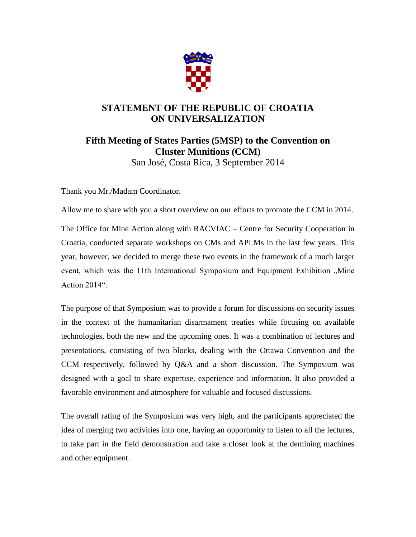

## **STATEMENT OF THE REPUBLIC OF CROATIA ON UNIVERSALIZATION**

## **Fifth Meeting of States Parties (5MSP) to the Convention on Cluster Munitions (CCM)**  San José, Costa Rica, 3 September 2014

Thank you Mr./Madam Coordinator.

Allow me to share with you a short overview on our efforts to promote the CCM in 2014.

The Office for Mine Action along with RACVIAC – Centre for Security Cooperation in Croatia, conducted separate workshops on CMs and APLMs in the last few years. This year, however, we decided to merge these two events in the framework of a much larger event, which was the 11th International Symposium and Equipment Exhibition "Mine Action 2014".

The purpose of that Symposium was to provide a forum for discussions on security issues in the context of the humanitarian disarmament treaties while focusing on available technologies, both the new and the upcoming ones. It was a combination of lectures and presentations, consisting of two blocks, dealing with the Ottawa Convention and the CCM respectively, followed by Q&A and a short discussion. The Symposium was designed with a goal to share expertise, experience and information. It also provided a favorable environment and atmosphere for valuable and focused discussions.

The overall rating of the Symposium was very high, and the participants appreciated the idea of merging two activities into one, having an opportunity to listen to all the lectures, to take part in the field demonstration and take a closer look at the demining machines and other equipment.